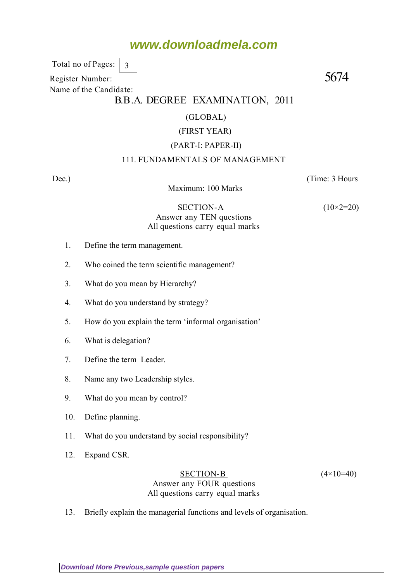Total no of Pages: 3

Register Number: 5674 Name of the Candidate:

### B.B.A. DEGREE EXAMINATION, 2011

#### (GLOBAL)

#### (FIRST YEAR)

#### (PART-I: PAPER-II)

#### 111. FUNDAMENTALS OF MANAGEMENT

Maximum: 100 Marks

Dec.) (Time: 3 Hours

 $SECTION-A$  (10×2=20) Answer any TEN questions All questions carry equal marks

- 1. Define the term management.
- 2. Who coined the term scientific management?
- 3. What do you mean by Hierarchy?
- 4. What do you understand by strategy?
- 5. How do you explain the term 'informal organisation'
- 6. What is delegation?
- 7. Define the term Leader.
- 8. Name any two Leadership styles.
- 9. What do you mean by control?
- 10. Define planning.
- 11. What do you understand by social responsibility?
- 12. Expand CSR.

#### SECTION-B  $(4 \times 10=40)$ Answer any FOUR questions All questions carry equal marks

13. Briefly explain the managerial functions and levels of organisation.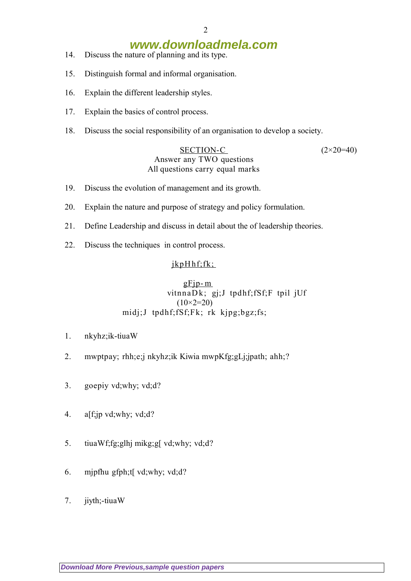- 14. Discuss the nature of planning and its type.
- 15. Distinguish formal and informal organisation.
- 16. Explain the different leadership styles.
- 17. Explain the basics of control process.
- 18. Discuss the social responsibility of an organisation to develop a society.

#### SECTION-C  $(2 \times 20=40)$ Answer any TWO questions All questions carry equal marks

- 19. Discuss the evolution of management and its growth.
- 20. Explain the nature and purpose of strategy and policy formulation.
- 21. Define Leadership and discuss in detail about the of leadership theories.
- 22. Discuss the techniques in control process.

### jkpHhf;fk;

#### $gF$ jp- $m$  vitnnaD k; gj;J tpdhf;fSf;F tpil jUf (10*×2=20)* midj;J tpdhf;fSf;Fk; rk kjpg;bgz;fs;

- 1. nkyhz;ik-tiuaW
- 2. mwptpay; rhh;e;j nkyhz;ik Kiwia mwpKfg;gLj;jpath; ahh;?
- 3. goepiy vd;why; vd;d?
- 4. alf;jp vd;why; vd;d?
- 5. tiuaWf;fg;glhj mikg;g[ vd;why; vd;d?
- 6. mjpfhu gfph;t[ vd;why; vd;d?
- 7. jiyth;-tiuaW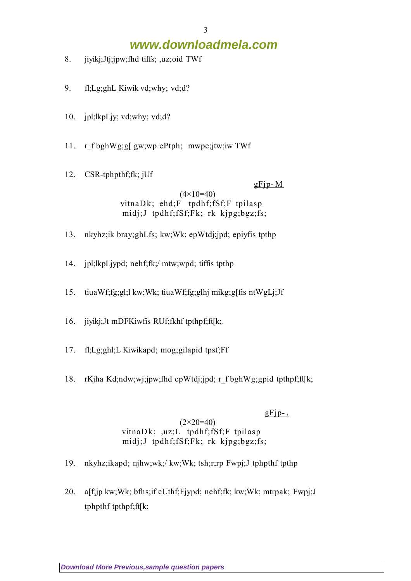- 8. jiyikj;Jtj;jpw;fhd tiffs; ,uz;oid TWf
- 9. fl;Lg;ghL Kiwik vd;why; vd;d?
- 10. jpl;lkpLjy; vd;why; vd;d?
- 11. r\_f bghWg;g[ gw;wp ePtph; mwpe;jtw;iw TWf
- 12. CSR-tphpthf;fk; jUf

#### $gF$ jp-M

(4*×10=40)* vitnaDk; ehd;F tpdhf;fSf;F tpilasp midj;J tpdhf;fSf;Fk; rk kjpg;bgz;fs;

- 13. nkyhz;ik bray;ghLfs; kw;Wk; epWtdj;jpd; epiyfis tpthp
- 14. jpl;lkpLjypd; nehf;fk;/ mtw;wpd; tiffis tpthp
- 15. tiuaWf;fg;gl;l kw;Wk; tiuaWf;fg;glhj mikg;g[fis ntWgLj;Jf
- 16. jiyikj;Jt mDFKiwfis RUf;fkhf tpthpf;ft[k;.
- 17. fl;Lg;ghl;L Kiwikapd; mog;gilapid tpsf;Ff
- 18. rKjha Kd;ndw;wj;jpw;fhd epWtdj;jpd; r\_f bghWg;gpid tpthpf;ft[k;

#### $gFip-.$

#### (2*×20=40)* vitna $Dk$ ; ,uz;L tpdhf;fSf;F tpilasp midj;J tpdhf;fSf;Fk; rk kjpg;bgz;fs;

- 19. nkyhz;ikapd; njhw;wk;/ kw;Wk; tsh;r;rp Fwpj;J tphpthf tpthp
- 20. a[f;jp kw;Wk; bfhs;if cUthf;Fjypd; nehf;fk; kw;Wk; mtrpak; Fwpj;J tphpthf tpthpf;ft[k;